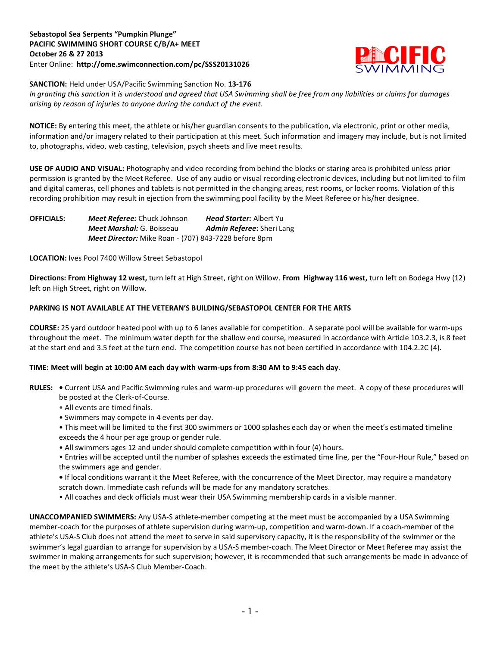## **Sebastopol Sea Serpents "Pumpkin Plunge" PACIFIC SWIMMING SHORT COURSE C/B/A+ MEET October 26 & 27 2013** Enter Online: **http://ome.swimconnection.com/pc/SSS20131026**



**SANCTION:** Held under USA/Pacific Swimming Sanction No. **13-176**

*In granting this sanction it is understood and agreed that USA Swimming shall be free from any liabilities or claims for damages arising by reason of injuries to anyone during the conduct of the event.*

**NOTICE:** By entering this meet, the athlete or his/her guardian consents to the publication, via electronic, print or other media, information and/or imagery related to their participation at this meet. Such information and imagery may include, but is not limited to, photographs, video, web casting, television, psych sheets and live meet results.

**USE OF AUDIO AND VISUAL:** Photography and video recording from behind the blocks or staring area is prohibited unless prior permission is granted by the Meet Referee. Use of any audio or visual recording electronic devices, including but not limited to film and digital cameras, cell phones and tablets is not permitted in the changing areas, rest rooms, or locker rooms. Violation of this recording prohibition may result in ejection from the swimming pool facility by the Meet Referee or his/her designee.

| <b>OFFICIALS:</b> | <b>Meet Referee:</b> Chuck Johnson                          | <b>Head Starter:</b> Albert Yu   |  |  |  |
|-------------------|-------------------------------------------------------------|----------------------------------|--|--|--|
|                   | <b>Meet Marshal: G. Boisseau</b>                            | <b>Admin Referee:</b> Sheri Lang |  |  |  |
|                   | <b>Meet Director:</b> Mike Roan - (707) 843-7228 before 8pm |                                  |  |  |  |

**LOCATION:** Ives Pool 7400 Willow Street Sebastopol

**Directions: From Highway 12 west,** turn left at High Street, right on Willow. **From Highway 116 west,** turn left on Bodega Hwy (12) left on High Street, right on Willow.

# **PARKING IS NOT AVAILABLE AT THE VETERAN'S BUILDING/SEBASTOPOL CENTER FOR THE ARTS**

**COURSE:** 25 yard outdoor heated pool with up to 6 lanes available for competition. A separate pool will be available for warm-ups throughout the meet. The minimum water depth for the shallow end course, measured in accordance with Article 103.2.3, is 8 feet at the start end and 3.5 feet at the turn end. The competition course has not been certified in accordance with 104.2.2C (4).

## **TIME: Meet will begin at 10:00 AM each day with warm-ups from 8:30 AM to 9:45 each day**.

- **RULES:** Current USA and Pacific Swimming rules and warm-up procedures will govern the meet. A copy of these procedures will be posted at the Clerk-of-Course.
	- All events are timed finals.
	- Swimmers may compete in 4 events per day.
	- This meet will be limited to the first 300 swimmers or 1000 splashes each day or when the meet's estimated timeline exceeds the 4 hour per age group or gender rule.
	- All swimmers ages 12 and under should complete competition within four (4) hours.
	- Entries will be accepted until the number of splashes exceeds the estimated time line, per the "Four-Hour Rule," based on the swimmers age and gender.
	- If local conditions warrant it the Meet Referee, with the concurrence of the Meet Director, may require a mandatory scratch down. Immediate cash refunds will be made for any mandatory scratches.
	- All coaches and deck officials must wear their USA Swimming membership cards in a visible manner.

**UNACCOMPANIED SWIMMERS:** Any USA-S athlete-member competing at the meet must be accompanied by a USA Swimming member-coach for the purposes of athlete supervision during warm-up, competition and warm-down. If a coach-member of the athlete's USA-S Club does not attend the meet to serve in said supervisory capacity, it is the responsibility of the swimmer or the swimmer's legal guardian to arrange for supervision by a USA-S member-coach. The Meet Director or Meet Referee may assist the swimmer in making arrangements for such supervision; however, it is recommended that such arrangements be made in advance of the meet by the athlete's USA-S Club Member-Coach.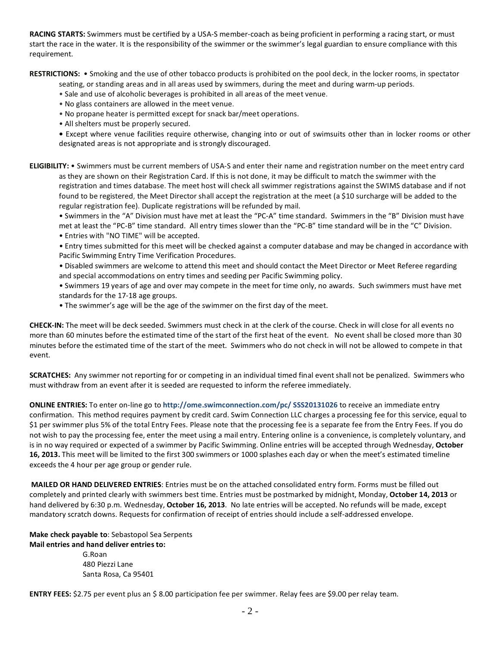**RACING STARTS:** Swimmers must be certified by a USA-S member-coach as being proficient in performing a racing start, or must start the race in the water. It is the responsibility of the swimmer or the swimmer's legal guardian to ensure compliance with this requirement.

**RESTRICTIONS:** • Smoking and the use of other tobacco products is prohibited on the pool deck, in the locker rooms, in spectator

seating, or standing areas and in all areas used by swimmers, during the meet and during warm-up periods.

- Sale and use of alcoholic beverages is prohibited in all areas of the meet venue.
- No glass containers are allowed in the meet venue.
- No propane heater is permitted except for snack bar/meet operations.
- All shelters must be properly secured.

**•** Except where venue facilities require otherwise, changing into or out of swimsuits other than in locker rooms or other designated areas is not appropriate and is strongly discouraged.

**ELIGIBILITY:** • Swimmers must be current members of USA-S and enter their name and registration number on the meet entry card as they are shown on their Registration Card. If this is not done, it may be difficult to match the swimmer with the registration and times database. The meet host will check all swimmer registrations against the SWIMS database and if not found to be registered, the Meet Director shall accept the registration at the meet (a \$10 surcharge will be added to the regular registration fee). Duplicate registrations will be refunded by mail.

• Swimmers in the "A" Division must have met at least the "PC-A" time standard. Swimmers in the "B" Division must have met at least the "PC-B" time standard. All entry times slower than the "PC-B" time standard will be in the "C" Division.

• Entries with "NO TIME" will be accepted.

• Entry times submitted for this meet will be checked against a computer database and may be changed in accordance with Pacific Swimming Entry Time Verification Procedures.

• Disabled swimmers are welcome to attend this meet and should contact the Meet Director or Meet Referee regarding and special accommodations on entry times and seeding per Pacific Swimming policy.

• Swimmers 19 years of age and over may compete in the meet for time only, no awards. Such swimmers must have met standards for the 17-18 age groups.

• The swimmer's age will be the age of the swimmer on the first day of the meet.

**CHECK-IN:** The meet will be deck seeded. Swimmers must check in at the clerk of the course. Check in will close for all events no more than 60 minutes before the estimated time of the start of the first heat of the event. No event shall be closed more than 30 minutes before the estimated time of the start of the meet. Swimmers who do not check in will not be allowed to compete in that event.

**SCRATCHES:** Any swimmer not reporting for or competing in an individual timed final event shall not be penalized. Swimmers who must withdraw from an event after it is seeded are requested to inform the referee immediately.

**ONLINE ENTRIES:** To enter on-line go to **http://ome.swimconnection.com/pc/ SSS20131026** to receive an immediate entry confirmation. This method requires payment by credit card. Swim Connection LLC charges a processing fee for this service, equal to \$1 per swimmer plus 5% of the total Entry Fees. Please note that the processing fee is a separate fee from the Entry Fees. If you do not wish to pay the processing fee, enter the meet using a mail entry. Entering online is a convenience, is completely voluntary, and is in no way required or expected of a swimmer by Pacific Swimming. Online entries will be accepted through Wednesday, **October 16, 2013.** This meet will be limited to the first 300 swimmers or 1000 splashes each day or when the meet's estimated timeline exceeds the 4 hour per age group or gender rule.

**MAILED OR HAND DELIVERED ENTRIES**: Entries must be on the attached consolidated entry form. Forms must be filled out completely and printed clearly with swimmers best time. Entries must be postmarked by midnight, Monday, **October 14, 2013** or hand delivered by 6:30 p.m. Wednesday, **October 16, 2013**. No late entries will be accepted. No refunds will be made, except mandatory scratch downs. Requests for confirmation of receipt of entries should include a self-addressed envelope.

## **Make check payable to**: Sebastopol Sea Serpents **Mail entries and hand deliver entries to:**

G.Roan 480 Piezzi Lane Santa Rosa, Ca 95401

**ENTRY FEES:** \$2.75 per event plus an \$ 8.00 participation fee per swimmer. Relay fees are \$9.00 per relay team.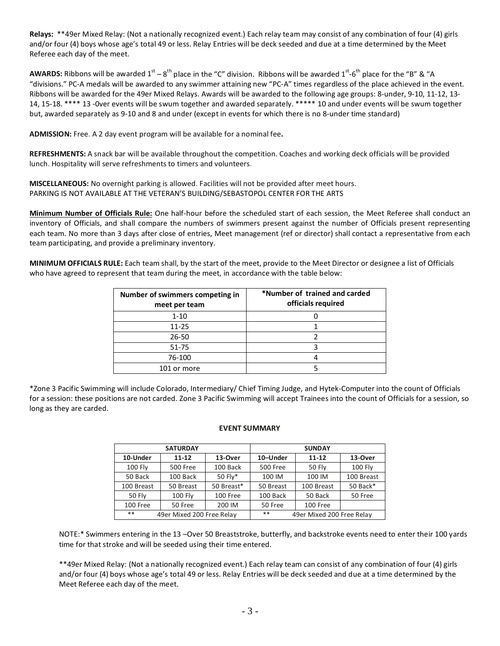**Relays:** \*\*49er Mixed Relay: (Not a nationally recognized event.) Each relay team may consist of any combination of four (4) girls and/or four (4) boys whose age's total 49 or less. Relay Entries will be deck seeded and due at a time determined by the Meet Referee each day of the meet.

**AWARDS:** Ribbons will be awarded  $1^{st} - 8^{th}$  place in the "C" division. Ribbons will be awarded  $1^{st} - 6^{th}$  place for the "B" & "A "divisions." PC-A medals will be awarded to any swimmer attaining new "PC-A" times regardless of the place achieved in the event. Ribbons will be awarded for the 49er Mixed Relays. Awards will be awarded to the following age groups: 8-under, 9-10, 11-12, 13- 14, 15-18. \*\*\*\* 13 -0ver events will be swum together and awarded separately. \*\*\*\*\* 10 and under events will be swum together but, awarded separately as 9-10 and 8 and under (except in events for which there is no 8-under time standard)

**ADMISSION:** Free. A 2 day event program will be available for a nominal fee**.**

**REFRESHMENTS:** A snack bar will be available throughout the competition. Coaches and working deck officials will be provided lunch. Hospitality will serve refreshments to timers and volunteers.

**MISCELLANEOUS:** No overnight parking is allowed. Facilities will not be provided after meet hours. PARKING IS NOT AVAILABLE AT THE VETERAN'S BUILDING/SEBASTOPOL CENTER FOR THE ARTS

**Minimum Number of Officials Rule:** One half-hour before the scheduled start of each session, the Meet Referee shall conduct an inventory of Officials, and shall compare the numbers of swimmers present against the number of Officials present representing each team. No more than 3 days after close of entries, Meet management (ref or director) shall contact a representative from each team participating, and provide a preliminary inventory.

**MINIMUM OFFICIALS RULE:** Each team shall, by the start of the meet, provide to the Meet Director or designee a list of Officials who have agreed to represent that team during the meet, in accordance with the table below:

| Number of swimmers competing in<br>meet per team | *Number of trained and carded<br>officials required |  |  |
|--------------------------------------------------|-----------------------------------------------------|--|--|
| $1 - 10$                                         |                                                     |  |  |
| $11 - 25$                                        |                                                     |  |  |
| 26-50                                            |                                                     |  |  |
| 51-75                                            |                                                     |  |  |
| 76-100                                           |                                                     |  |  |
| 101 or more                                      |                                                     |  |  |

\*Zone 3 Pacific Swimming will include Colorado, Intermediary/ Chief Timing Judge, and Hytek-Computer into the count of Officials for a session: these positions are not carded. Zone 3 Pacific Swimming will accept Trainees into the count of Officials for a session, so long as they are carded.

## **EVENT SUMMARY**

| <b>SATURDAY</b>                    |                   |            | <b>SUNDAY</b>                   |               |            |
|------------------------------------|-------------------|------------|---------------------------------|---------------|------------|
| 10-Under                           | $11 - 12$         | 13-Over    | 10-Under                        | $11 - 12$     | 13-Over    |
| 100 Fly                            | <b>500 Free</b>   | 100 Back   | 500 Free                        | <b>50 Fly</b> | 100 Fly    |
| 50 Back                            | 100 Back          | 50 Fly*    | 100 IM                          | 100 IM        | 100 Breast |
| 100 Breast                         | 50 Breast         | 50 Breast* | 50 Breast                       | 100 Breast    | 50 Back*   |
| <b>50 Fly</b>                      | 100 Fly           | 100 Free   | 100 Back                        | 50 Back       | 50 Free    |
| 100 Free                           | 200 IM<br>50 Free |            | 50 Free                         | 100 Free      |            |
| $***$<br>49er Mixed 200 Free Relay |                   |            | **<br>49er Mixed 200 Free Relay |               |            |

NOTE:\* Swimmers entering in the 13 –Over 50 Breaststroke, butterfly, and backstroke events need to enter their 100 yards time for that stroke and will be seeded using their time entered.

\*\*49er Mixed Relay: (Not a nationally recognized event.) Each relay team can consist of any combination of four (4) girls and/or four (4) boys whose age's total 49 or less. Relay Entries will be deck seeded and due at a time determined by the Meet Referee each day of the meet.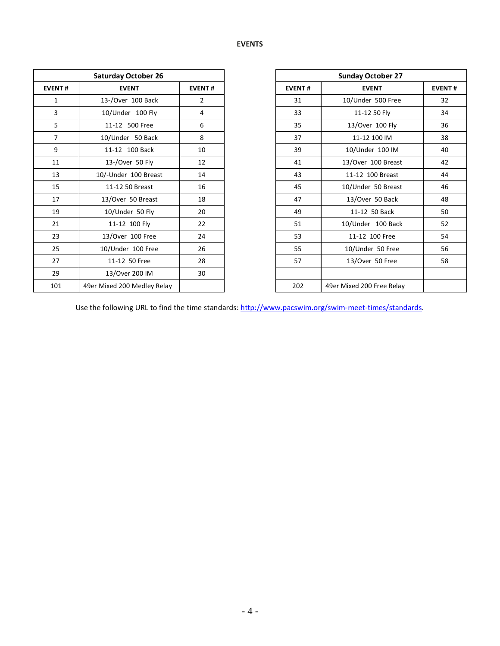|                | <b>Saturday October 26</b>  |                |               | <b>Sunday October 27</b>  |
|----------------|-----------------------------|----------------|---------------|---------------------------|
| <b>EVENT#</b>  | <b>EVENT</b>                | <b>EVENT#</b>  | <b>EVENT#</b> | <b>EVENT</b>              |
| $\mathbf{1}$   | 13-/Over 100 Back           | $\overline{2}$ | 31            | 10/Under 500 Free         |
| 3              | 10/Under 100 Fly            | 4              | 33            | 11-12 50 Fly              |
| 5              | 11-12 500 Free              | 6              | 35            | 13/Over 100 Fly           |
| $\overline{7}$ | 10/Under 50 Back            | 8              | 37            | 11-12 100 IM              |
| 9              | 11-12 100 Back              | 10             | 39            | 10/Under 100 IM           |
| 11             | 13-/Over 50 Fly             | 12             | 41            | 13/Over 100 Breast        |
| 13             | 10/-Under 100 Breast        | 14             | 43            | 11-12 100 Breast          |
| 15             | 11-12 50 Breast             | 16             | 45            | 10/Under 50 Breast        |
| 17             | 13/Over 50 Breast           | 18             | 47            | 13/Over 50 Back           |
| 19             | 10/Under 50 Fly             | 20             | 49            | 11-12 50 Back             |
| 21             | 11-12 100 Fly               | 22             | 51            | 10/Under 100 Back         |
| 23             | 13/Over 100 Free            | 24             | 53            | 11-12 100 Free            |
| 25             | 10/Under 100 Free           | 26             | 55            | 10/Under 50 Free          |
| 27             | 11-12 50 Free               | 28             | 57            | 13/Over 50 Free           |
| 29             | 13/Over 200 IM              | 30             |               |                           |
| 101            | 49er Mixed 200 Medley Relay |                | 202           | 49er Mixed 200 Free Relay |

| <b>Saturday October 26</b> |                             |                |
|----------------------------|-----------------------------|----------------|
| <b>EVENT#</b>              | <b>EVENT</b>                | <b>EVENT#</b>  |
| 1                          | 13-/Over 100 Back           | $\overline{2}$ |
| 3                          | 10/Under 100 Fly            | 4              |
| 5                          | 11-12 500 Free              | 6              |
| $\overline{7}$             | 10/Under 50 Back            | 8              |
| 9                          | 11-12 100 Back              | 10             |
| 11                         | 13-/Over 50 Fly             | 12             |
| 13                         | 10/-Under 100 Breast        | 14             |
| 15                         | 11-12 50 Breast             | 16             |
| 17                         | 13/Over 50 Breast           | 18             |
| 19                         | 10/Under 50 Fly             | 20             |
| 21                         | 11-12 100 Fly               | 22             |
| 23                         | 13/Over 100 Free            | 24             |
| 25                         | 10/Under 100 Free           | 26             |
| 27                         | 11-12 50 Free               | 28             |
| 29                         | 13/Over 200 IM              | 30             |
| 101                        | 49er Mixed 200 Medley Relay |                |

Use the following URL to find the time standards: [http://www.pacswim.org/swim-meet-times/standards.](http://www.pacswim.org/swim-meet-times/standards)